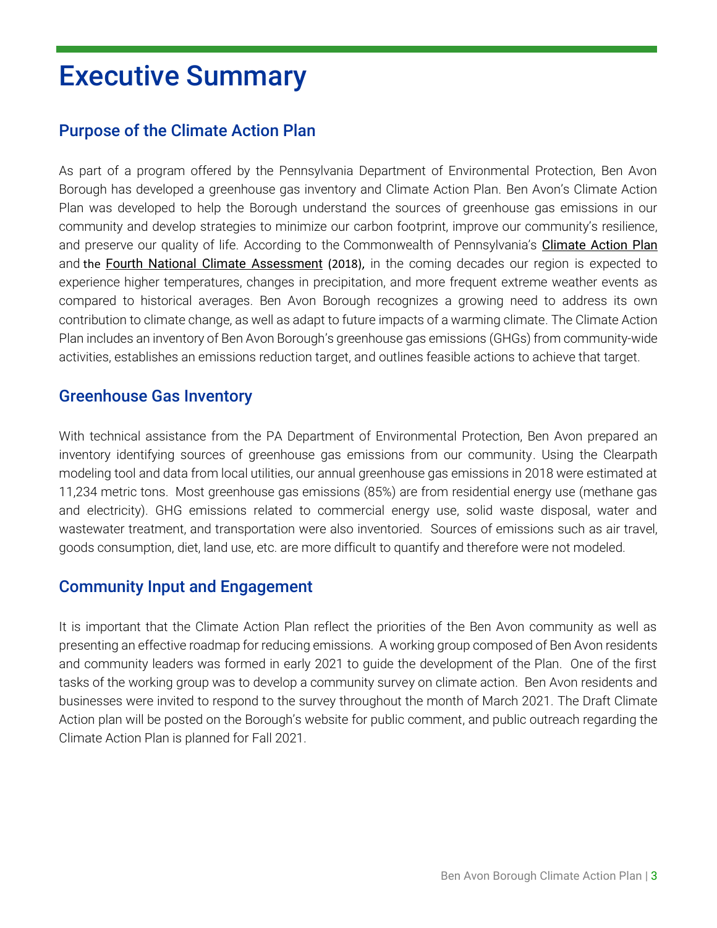# Executive Summary

## Purpose of the Climate Action Plan

As part of a program offered by the Pennsylvania Department of Environmental Protection, Ben Avon Borough has developed a greenhouse gas inventory and Climate Action Plan. Ben Avon's Climate Action Plan was developed to help the Borough understand the sources of greenhouse gas emissions in our community and develop strategies to minimize our carbon footprint, improve our community's resilience, and preserve our quality of life. According to the Commonwealth of Pennsylvania's [Climate Action Plan](https://www.dep.pa.gov/citizens/climate/Pages/PA-Climate-Action-Plan.aspx) and the [Fourth National Climate Assessment](https://nca2018.globalchange.gov/) (2018), in the coming decades our region is expected to experience higher temperatures, changes in precipitation, and more frequent extreme weather events as compared to historical averages. Ben Avon Borough recognizes a growing need to address its own contribution to climate change, as well as adapt to future impacts of a warming climate. The Climate Action Plan includes an inventory of Ben Avon Borough's greenhouse gas emissions (GHGs) from community-wide activities, establishes an emissions reduction target, and outlines feasible actions to achieve that target.

#### Greenhouse Gas Inventory

With technical assistance from the PA Department of Environmental Protection, Ben Avon prepared an inventory identifying sources of greenhouse gas emissions from our community. Using the Clearpath modeling tool and data from local utilities, our annual greenhouse gas emissions in 2018 were estimated at 11,234 metric tons. Most greenhouse gas emissions (85%) are from residential energy use (methane gas and electricity). GHG emissions related to commercial energy use, solid waste disposal, water and wastewater treatment, and transportation were also inventoried. Sources of emissions such as air travel, goods consumption, diet, land use, etc. are more difficult to quantify and therefore were not modeled.

#### Community Input and Engagement

It is important that the Climate Action Plan reflect the priorities of the Ben Avon community as well as presenting an effective roadmap for reducing emissions. A working group composed of Ben Avon residents and community leaders was formed in early 2021 to guide the development of the Plan. One of the first tasks of the working group was to develop a community survey on climate action. Ben Avon residents and businesses were invited to respond to the survey throughout the month of March 2021. The Draft Climate Action plan will be posted on the Borough's website for public comment, and public outreach regarding the Climate Action Plan is planned for Fall 2021.